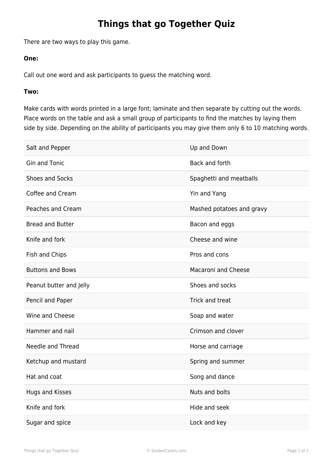## **Things that go Together Quiz**

There are two ways to play this game.

## **One:**

Call out one word and ask participants to guess the matching word.

## **Two:**

Make cards with words printed in a large font; laminate and then separate by cutting out the words. Place words on the table and ask a small group of participants to find the matches by laying them side by side. Depending on the ability of participants you may give them only 6 to 10 matching words.

| Salt and Pepper         | Up and Down                |
|-------------------------|----------------------------|
| <b>Gin and Tonic</b>    | Back and forth             |
| Shoes and Socks         | Spaghetti and meatballs    |
| Coffee and Cream        | Yin and Yang               |
| Peaches and Cream       | Mashed potatoes and gravy  |
| <b>Bread and Butter</b> | Bacon and eggs             |
| Knife and fork          | Cheese and wine            |
| Fish and Chips          | Pros and cons              |
| <b>Buttons and Bows</b> | <b>Macaroni and Cheese</b> |
| Peanut butter and Jelly | Shoes and socks            |
| Pencil and Paper        | Trick and treat            |
| Wine and Cheese         | Soap and water             |
| Hammer and nail         | Crimson and clover         |
| Needle and Thread       | Horse and carriage         |
| Ketchup and mustard     | Spring and summer          |
| Hat and coat            | Song and dance             |
| <b>Hugs and Kisses</b>  | Nuts and bolts             |
| Knife and fork          | Hide and seek              |
| Sugar and spice         | Lock and key               |